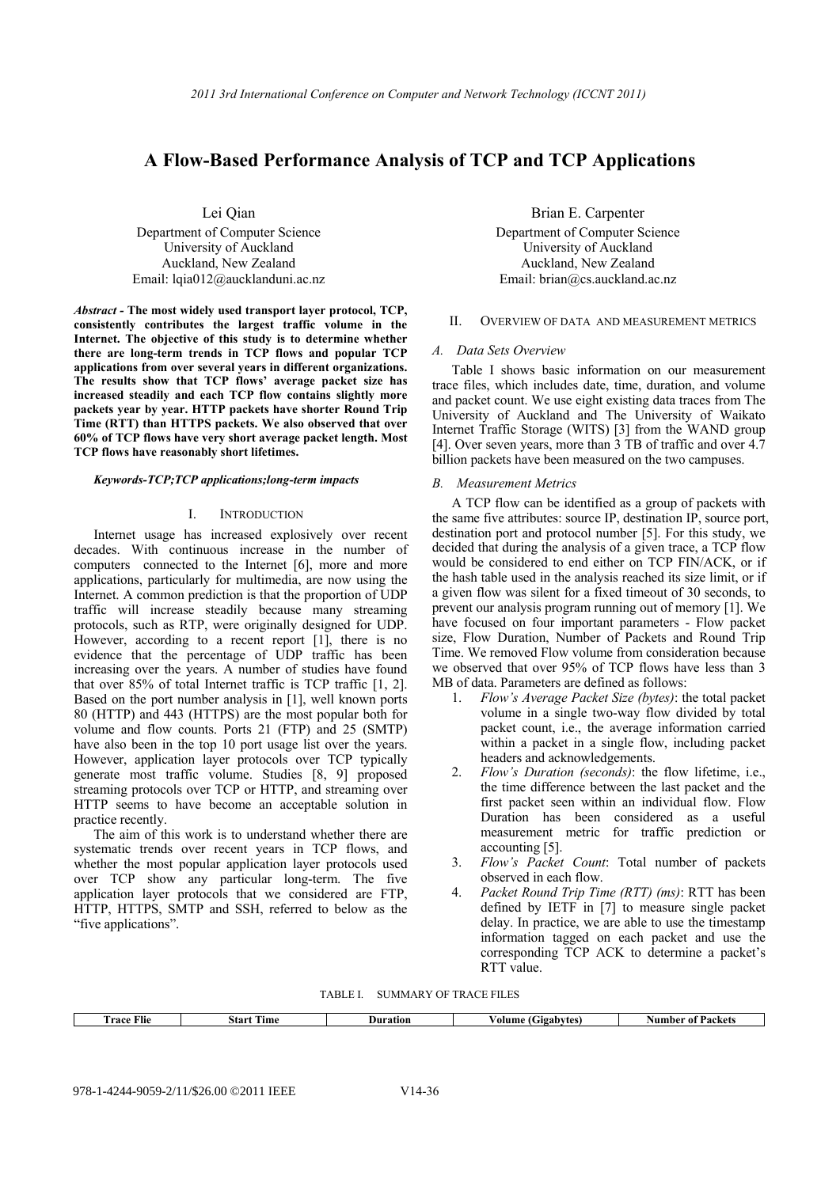# **A Flow-Based Performance Analysis of TCP and TCP Applications**

Lei Qian

Department of Computer Science University of Auckland Auckland, New Zealand Email: lqia012@aucklanduni.ac.nz

*Abstract -* **The most widely used transport layer protocol, TCP, consistently contributes the largest traffic volume in the Internet. The objective of this study is to determine whether there are long-term trends in TCP flows and popular TCP applications from over several years in different organizations. The results show that TCP flows' average packet size has increased steadily and each TCP flow contains slightly more packets year by year. HTTP packets have shorter Round Trip Time (RTT) than HTTPS packets. We also observed that over 60% of TCP flows have very short average packet length. Most TCP flows have reasonably short lifetimes.** 

# *Keywords-TCP;TCP applications;long-term impacts*

## I. INTRODUCTION

Internet usage has increased explosively over recent decades. With continuous increase in the number of computers connected to the Internet [6], more and more applications, particularly for multimedia, are now using the Internet. A common prediction is that the proportion of UDP traffic will increase steadily because many streaming protocols, such as RTP, were originally designed for UDP. However, according to a recent report [1], there is no evidence that the percentage of UDP traffic has been increasing over the years. A number of studies have found that over 85% of total Internet traffic is TCP traffic [1, 2]. Based on the port number analysis in [1], well known ports 80 (HTTP) and 443 (HTTPS) are the most popular both for volume and flow counts. Ports 21 (FTP) and 25 (SMTP) have also been in the top 10 port usage list over the years. However, application layer protocols over TCP typically generate most traffic volume. Studies [8, 9] proposed streaming protocols over TCP or HTTP, and streaming over HTTP seems to have become an acceptable solution in practice recently.

The aim of this work is to understand whether there are systematic trends over recent years in TCP flows, and whether the most popular application layer protocols used over TCP show any particular long-term. The five application layer protocols that we considered are FTP, HTTP, HTTPS, SMTP and SSH, referred to below as the "five applications".

Brian E. Carpenter Department of Computer Science University of Auckland Auckland, New Zealand Email: brian@cs.auckland.ac.nz

# II. OVERVIEW OF DATA AND MEASUREMENT METRICS

#### *A. Data Sets Overview*

Table I shows basic information on our measurement trace files, which includes date, time, duration, and volume and packet count. We use eight existing data traces from The University of Auckland and The University of Waikato Internet Traffic Storage (WITS) [3] from the WAND group [4]. Over seven years, more than  $\overline{3}$  TB of traffic and over 4.7 billion packets have been measured on the two campuses.

# *B. Measurement Metrics*

A TCP flow can be identified as a group of packets with the same five attributes: source IP, destination IP, source port, destination port and protocol number [5]. For this study, we decided that during the analysis of a given trace, a TCP flow would be considered to end either on TCP FIN/ACK, or if the hash table used in the analysis reached its size limit, or if a given flow was silent for a fixed timeout of 30 seconds, to prevent our analysis program running out of memory [1]. We have focused on four important parameters - Flow packet size, Flow Duration, Number of Packets and Round Trip Time. We removed Flow volume from consideration because we observed that over 95% of TCP flows have less than 3 MB of data. Parameters are defined as follows:

- 1. *Flow's Average Packet Size (bytes)*: the total packet volume in a single two-way flow divided by total packet count, i.e., the average information carried within a packet in a single flow, including packet headers and acknowledgements.
- 2. *Flow's Duration (seconds)*: the flow lifetime, i.e., the time difference between the last packet and the first packet seen within an individual flow. Flow Duration has been considered as a useful measurement metric for traffic prediction or accounting [5].
- 3. *Flow's Packet Count*: Total number of packets observed in each flow.
- 4. *Packet Round Trip Time (RTT) (ms)*: RTT has been defined by IETF in [7] to measure single packet delay. In practice, we are able to use the timestamp information tagged on each packet and use the corresponding TCP ACK to determine a packet's RTT value.

TABLE I. SUMMARY OF TRACE FILES

| $\sim$<br>race<br>Flie | <b>CONTRACTOR</b><br>Start<br>Time | Duration | Gigabytes'<br>⁄ olume ( | Packets<br>Number ot |
|------------------------|------------------------------------|----------|-------------------------|----------------------|
|                        |                                    |          |                         |                      |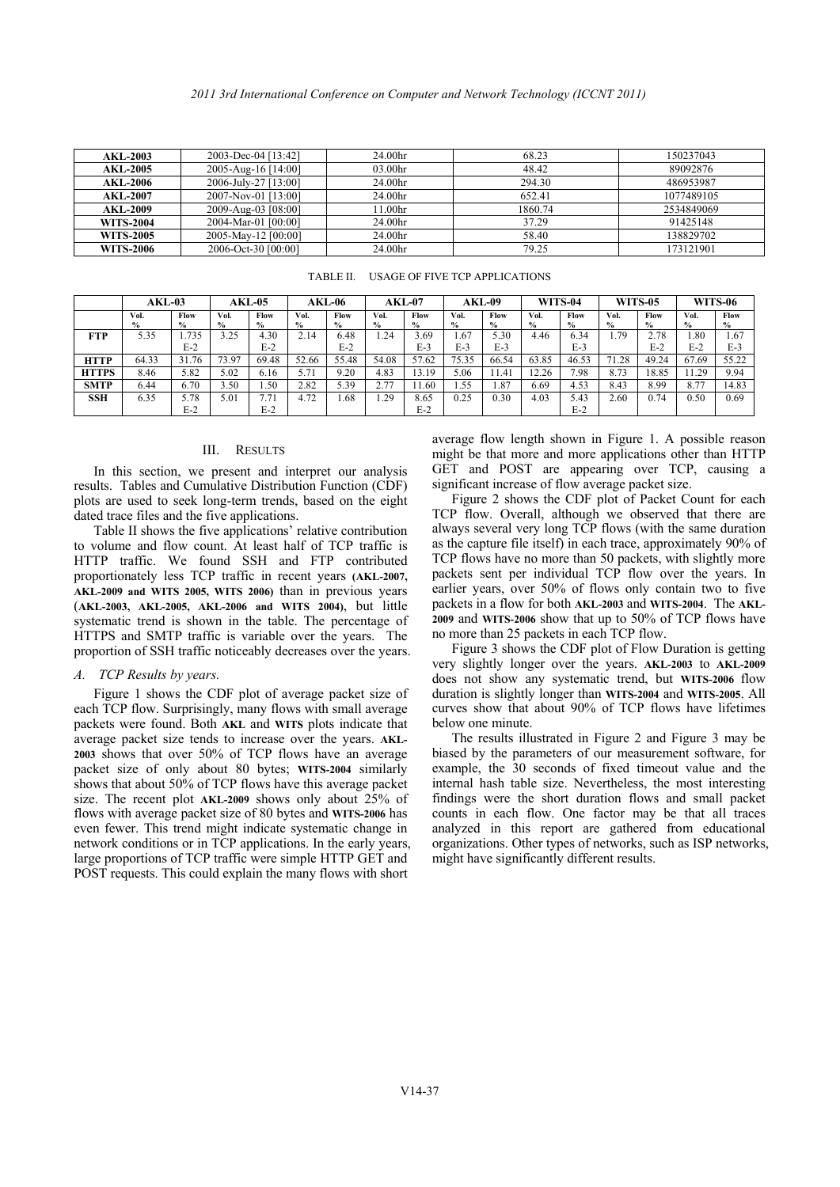| <b>AKL-2003</b>  | 2003-Dec-04 [13:42]  | 24.00hr             | 68.23   | 150237043  |
|------------------|----------------------|---------------------|---------|------------|
| AKL-2005         | 2005-Aug-16 [14:00]  | 03.00hr             | 48.42   | 89092876   |
| <b>AKL-2006</b>  | 2006-July-27 [13:00] | 24.00hr             | 294.30  | 486953987  |
| <b>AKL-2007</b>  | 2007-Nov-01 [13:00]  | 24.00hr             | 652.41  | 1077489105 |
| <b>AKL-2009</b>  | 2009-Aug-03 [08:00]  | l 1.00hr            | 1860.74 | 2534849069 |
| WITS-2004        | 2004-Mar-01 [00:00]  | 24.00 <sub>hr</sub> | 37.29   | 91425148   |
| WITS-2005        | 2005-May-12 [00:00]  | 24.00 <sub>hr</sub> | 58.40   | 138829702  |
| <b>WITS-2006</b> | 2006-Oct-30 [00:00]  | 24.00hr             | 79.25   | 173121901  |

|             |                                                                                                                                                                                                                                                                                                                                                                                                                                                                                                                                                                                                                                                                                                                                                                                                                                                                                                                                                                                                                                                                                                                                                                                                                                                                                                                                                                                                                                                                                                          |                     |              |                     |           |                    |               |                     |                                |                   | 2011 3rd International Conference on Computer and Network Technology (ICCNT 2011)                                                                                                                                                                                                                                                                                                                                                                                                                                                                                                                                                                                                                                                                                                                                                                                                                                                                                                                                                                                                                                                                                                                                                                                                                                                                                                                |                |                          |                |              |                |  |  |
|-------------|----------------------------------------------------------------------------------------------------------------------------------------------------------------------------------------------------------------------------------------------------------------------------------------------------------------------------------------------------------------------------------------------------------------------------------------------------------------------------------------------------------------------------------------------------------------------------------------------------------------------------------------------------------------------------------------------------------------------------------------------------------------------------------------------------------------------------------------------------------------------------------------------------------------------------------------------------------------------------------------------------------------------------------------------------------------------------------------------------------------------------------------------------------------------------------------------------------------------------------------------------------------------------------------------------------------------------------------------------------------------------------------------------------------------------------------------------------------------------------------------------------|---------------------|--------------|---------------------|-----------|--------------------|---------------|---------------------|--------------------------------|-------------------|--------------------------------------------------------------------------------------------------------------------------------------------------------------------------------------------------------------------------------------------------------------------------------------------------------------------------------------------------------------------------------------------------------------------------------------------------------------------------------------------------------------------------------------------------------------------------------------------------------------------------------------------------------------------------------------------------------------------------------------------------------------------------------------------------------------------------------------------------------------------------------------------------------------------------------------------------------------------------------------------------------------------------------------------------------------------------------------------------------------------------------------------------------------------------------------------------------------------------------------------------------------------------------------------------------------------------------------------------------------------------------------------------|----------------|--------------------------|----------------|--------------|----------------|--|--|
|             | <b>AKL-2003</b>                                                                                                                                                                                                                                                                                                                                                                                                                                                                                                                                                                                                                                                                                                                                                                                                                                                                                                                                                                                                                                                                                                                                                                                                                                                                                                                                                                                                                                                                                          | 2003-Dec-04 [13:42] |              |                     |           | 24.00hr            |               |                     |                                | 68.23             |                                                                                                                                                                                                                                                                                                                                                                                                                                                                                                                                                                                                                                                                                                                                                                                                                                                                                                                                                                                                                                                                                                                                                                                                                                                                                                                                                                                                  |                |                          |                | 150237043    |                |  |  |
|             | 2005-Aug-16 [14:00]<br><b>AKL-2005</b>                                                                                                                                                                                                                                                                                                                                                                                                                                                                                                                                                                                                                                                                                                                                                                                                                                                                                                                                                                                                                                                                                                                                                                                                                                                                                                                                                                                                                                                                   |                     |              | 03.00hr             |           |                    |               | 48.42               |                                |                   | 89092876                                                                                                                                                                                                                                                                                                                                                                                                                                                                                                                                                                                                                                                                                                                                                                                                                                                                                                                                                                                                                                                                                                                                                                                                                                                                                                                                                                                         |                |                          |                |              |                |  |  |
|             | 2006-July-27 [13:00]<br><b>AKL-2006</b><br>2007-Nov-01 [13:00]                                                                                                                                                                                                                                                                                                                                                                                                                                                                                                                                                                                                                                                                                                                                                                                                                                                                                                                                                                                                                                                                                                                                                                                                                                                                                                                                                                                                                                           |                     |              | 24.00hr             |           |                    |               | 294.30              |                                |                   | 486953987                                                                                                                                                                                                                                                                                                                                                                                                                                                                                                                                                                                                                                                                                                                                                                                                                                                                                                                                                                                                                                                                                                                                                                                                                                                                                                                                                                                        |                |                          |                |              |                |  |  |
|             | <b>AKL-2007</b><br><b>AKL-2009</b>                                                                                                                                                                                                                                                                                                                                                                                                                                                                                                                                                                                                                                                                                                                                                                                                                                                                                                                                                                                                                                                                                                                                                                                                                                                                                                                                                                                                                                                                       |                     |              | 2009-Aug-03 [08:00] |           | 24.00hr<br>11.00hr |               |                     |                                | 652.41<br>1860.74 |                                                                                                                                                                                                                                                                                                                                                                                                                                                                                                                                                                                                                                                                                                                                                                                                                                                                                                                                                                                                                                                                                                                                                                                                                                                                                                                                                                                                  |                | 1077489105<br>2534849069 |                |              |                |  |  |
|             | <b>WITS-2004</b>                                                                                                                                                                                                                                                                                                                                                                                                                                                                                                                                                                                                                                                                                                                                                                                                                                                                                                                                                                                                                                                                                                                                                                                                                                                                                                                                                                                                                                                                                         |                     |              | 2004-Mar-01 [00:00] |           |                    | 24.00hr       |                     |                                |                   | 37.29                                                                                                                                                                                                                                                                                                                                                                                                                                                                                                                                                                                                                                                                                                                                                                                                                                                                                                                                                                                                                                                                                                                                                                                                                                                                                                                                                                                            |                |                          |                | 91425148     |                |  |  |
|             | <b>WITS-2005</b>                                                                                                                                                                                                                                                                                                                                                                                                                                                                                                                                                                                                                                                                                                                                                                                                                                                                                                                                                                                                                                                                                                                                                                                                                                                                                                                                                                                                                                                                                         |                     |              | 2005-May-12 [00:00] |           |                    | 24.00hr       |                     |                                |                   | 58.40                                                                                                                                                                                                                                                                                                                                                                                                                                                                                                                                                                                                                                                                                                                                                                                                                                                                                                                                                                                                                                                                                                                                                                                                                                                                                                                                                                                            |                |                          |                | 138829702    |                |  |  |
|             | <b>WITS-2006</b>                                                                                                                                                                                                                                                                                                                                                                                                                                                                                                                                                                                                                                                                                                                                                                                                                                                                                                                                                                                                                                                                                                                                                                                                                                                                                                                                                                                                                                                                                         |                     |              | 2006-Oct-30 [00:00] |           | 24.00hr            |               |                     | 79.25                          |                   |                                                                                                                                                                                                                                                                                                                                                                                                                                                                                                                                                                                                                                                                                                                                                                                                                                                                                                                                                                                                                                                                                                                                                                                                                                                                                                                                                                                                  |                |                          | 173121901      |              |                |  |  |
|             |                                                                                                                                                                                                                                                                                                                                                                                                                                                                                                                                                                                                                                                                                                                                                                                                                                                                                                                                                                                                                                                                                                                                                                                                                                                                                                                                                                                                                                                                                                          |                     |              |                     |           | TABLE II.          |               |                     | USAGE OF FIVE TCP APPLICATIONS |                   |                                                                                                                                                                                                                                                                                                                                                                                                                                                                                                                                                                                                                                                                                                                                                                                                                                                                                                                                                                                                                                                                                                                                                                                                                                                                                                                                                                                                  |                |                          |                |              |                |  |  |
|             | $AKL-03$                                                                                                                                                                                                                                                                                                                                                                                                                                                                                                                                                                                                                                                                                                                                                                                                                                                                                                                                                                                                                                                                                                                                                                                                                                                                                                                                                                                                                                                                                                 |                     |              | AKL-05              |           | <b>AKL-06</b>      | <b>AKL-07</b> |                     |                                | AKL-09            |                                                                                                                                                                                                                                                                                                                                                                                                                                                                                                                                                                                                                                                                                                                                                                                                                                                                                                                                                                                                                                                                                                                                                                                                                                                                                                                                                                                                  | <b>WITS-04</b> |                          | <b>WITS-05</b> |              | <b>WITS-06</b> |  |  |
|             | Vol.                                                                                                                                                                                                                                                                                                                                                                                                                                                                                                                                                                                                                                                                                                                                                                                                                                                                                                                                                                                                                                                                                                                                                                                                                                                                                                                                                                                                                                                                                                     | Flow                | Vol.         | Flow                | Vol.      | Flow               | Vol.          | Flow                | Vol.                           | Flow              | Vol.                                                                                                                                                                                                                                                                                                                                                                                                                                                                                                                                                                                                                                                                                                                                                                                                                                                                                                                                                                                                                                                                                                                                                                                                                                                                                                                                                                                             | Flow           | Vol.                     | Flow           | Vol.         | Flow           |  |  |
| <b>FTP</b>  | %<br>5.35                                                                                                                                                                                                                                                                                                                                                                                                                                                                                                                                                                                                                                                                                                                                                                                                                                                                                                                                                                                                                                                                                                                                                                                                                                                                                                                                                                                                                                                                                                | $\%$<br>1.735       | $\%$<br>3.25 | %<br>4.30           | %<br>2.14 | %<br>6.48          | $\%$<br>1.24  | $\%$<br>3.69        | %<br>1.67                      | %<br>5.30         | $\%$<br>4.46                                                                                                                                                                                                                                                                                                                                                                                                                                                                                                                                                                                                                                                                                                                                                                                                                                                                                                                                                                                                                                                                                                                                                                                                                                                                                                                                                                                     | %<br>6.34      | $\%$<br>1.79             | %<br>2.78      | $\%$<br>1.80 | %<br>1.67      |  |  |
|             |                                                                                                                                                                                                                                                                                                                                                                                                                                                                                                                                                                                                                                                                                                                                                                                                                                                                                                                                                                                                                                                                                                                                                                                                                                                                                                                                                                                                                                                                                                          | $E-2$               |              | $E-2$               |           | $E-2$              |               | $E-3$               | $E-3$                          | $E-3$             |                                                                                                                                                                                                                                                                                                                                                                                                                                                                                                                                                                                                                                                                                                                                                                                                                                                                                                                                                                                                                                                                                                                                                                                                                                                                                                                                                                                                  | $E-3$          |                          | $E-2$          | $E-2$        | E-3            |  |  |
| <b>HTTP</b> | 64.33                                                                                                                                                                                                                                                                                                                                                                                                                                                                                                                                                                                                                                                                                                                                                                                                                                                                                                                                                                                                                                                                                                                                                                                                                                                                                                                                                                                                                                                                                                    | 31.76               | 73.97        | 69.48               | 52.66     | 55.48              | 54.08         | 57.62               | 75.35                          | 66.54             | 63.85                                                                                                                                                                                                                                                                                                                                                                                                                                                                                                                                                                                                                                                                                                                                                                                                                                                                                                                                                                                                                                                                                                                                                                                                                                                                                                                                                                                            | 46.53          | 71.28                    | 49.24          | 67.69        | 55.22          |  |  |
| HTTPS       | 8.46                                                                                                                                                                                                                                                                                                                                                                                                                                                                                                                                                                                                                                                                                                                                                                                                                                                                                                                                                                                                                                                                                                                                                                                                                                                                                                                                                                                                                                                                                                     | 5.82                | 5.02         | 6.16                | 5.71      | 9.20               | 4.83          | 13.19               | 5.06                           | 11.41             | 12.26                                                                                                                                                                                                                                                                                                                                                                                                                                                                                                                                                                                                                                                                                                                                                                                                                                                                                                                                                                                                                                                                                                                                                                                                                                                                                                                                                                                            | 7.98           | 8.73                     | 18.85          | 11.29        | 9.94           |  |  |
| <b>SMTP</b> | 6.44                                                                                                                                                                                                                                                                                                                                                                                                                                                                                                                                                                                                                                                                                                                                                                                                                                                                                                                                                                                                                                                                                                                                                                                                                                                                                                                                                                                                                                                                                                     | 6.70                | 3.50         | 1.50                | 2.82      | 5.39               | 2.77          | 11.60               | 1.55                           | 1.87              | 6.69                                                                                                                                                                                                                                                                                                                                                                                                                                                                                                                                                                                                                                                                                                                                                                                                                                                                                                                                                                                                                                                                                                                                                                                                                                                                                                                                                                                             | 4.53           | 8.43                     | 8.99           | 8.77         | 14.83          |  |  |
| <b>SSH</b>  | 6.35                                                                                                                                                                                                                                                                                                                                                                                                                                                                                                                                                                                                                                                                                                                                                                                                                                                                                                                                                                                                                                                                                                                                                                                                                                                                                                                                                                                                                                                                                                     | 5.78<br>$E-2$       | 5.01         | 7.71<br>$E-2$       | 4.72      | 1.68               | 1.29          | 8.65<br>$E-2$       | 0.25                           | 0.30              | 4.03                                                                                                                                                                                                                                                                                                                                                                                                                                                                                                                                                                                                                                                                                                                                                                                                                                                                                                                                                                                                                                                                                                                                                                                                                                                                                                                                                                                             | 5.43<br>$E-2$  | 2.60                     | 0.74           | 0.50         | 0.69           |  |  |
|             | lots are used to seek long-term trends, based on the eight<br>ated trace files and the five applications.<br>Table II shows the five applications' relative contribution<br>o volume and flow count. At least half of TCP traffic is<br>ITTP traffic. We found SSH and FTP contributed<br>roportionately less TCP traffic in recent years (AKL-2007,<br>KL-2009 and WITS 2005, WITS 2006) than in previous years<br>AKL-2003, AKL-2005, AKL-2006 and WITS 2004), but little<br>ystematic trend is shown in the table. The percentage of<br>ITTPS and SMTP traffic is variable over the years. The<br>roportion of SSH traffic noticeably decreases over the years.<br>TCP Results by years.<br>Figure 1 shows the CDF plot of average packet size of<br>ach TCP flow. Surprisingly, many flows with small average<br>ackets were found. Both AKL and WITS plots indicate that<br>verage packet size tends to increase over the years. AKL-<br>003 shows that over 50% of TCP flows have an average<br>acket size of only about 80 bytes; WITS-2004 similarly<br>hows that about 50% of TCP flows have this average packet<br>ize. The recent plot AKL-2009 shows only about 25% of<br>ows with average packet size of 80 bytes and WITS-2006 has<br>ven fewer. This trend might indicate systematic change in<br>etwork conditions or in TCP applications. In the early years,<br>arge proportions of TCP traffic were simple HTTP GET and<br>OST requests. This could explain the many flows with short |                     |              |                     |           |                    |               |                     | below one minute.              |                   | Figure 2 shows the CDF plot of Packet Count for e<br>TCP flow. Overall, although we observed that there<br>always several very long TCP flows (with the same dura<br>as the capture file itself) in each trace, approximately 90%<br>TCP flows have no more than 50 packets, with slightly n<br>packets sent per individual TCP flow over the years<br>earlier years, over 50% of flows only contain two to<br>packets in a flow for both AKL-2003 and WITS-2004. The A<br>2009 and WITS-2006 show that up to 50% of TCP flows h<br>no more than 25 packets in each TCP flow.<br>Figure 3 shows the CDF plot of Flow Duration is get<br>very slightly longer over the years. AKL-2003 to AKL-<br>does not show any systematic trend, but WITS-2006 f<br>duration is slightly longer than WITS-2004 and WITS-2005.<br>curves show that about 90% of TCP flows have lifeti<br>The results illustrated in Figure 2 and Figure 3 may<br>biased by the parameters of our measurement software,<br>example, the 30 seconds of fixed timeout value and<br>internal hash table size. Nevertheless, the most interes<br>findings were the short duration flows and small pa<br>counts in each flow. One factor may be that all tra<br>analyzed in this report are gathered from education<br>organizations. Other types of networks, such as ISP networks.<br>might have significantly different results. |                |                          |                |              |                |  |  |
|             |                                                                                                                                                                                                                                                                                                                                                                                                                                                                                                                                                                                                                                                                                                                                                                                                                                                                                                                                                                                                                                                                                                                                                                                                                                                                                                                                                                                                                                                                                                          |                     |              |                     |           |                    |               | V <sub>14</sub> -37 |                                |                   |                                                                                                                                                                                                                                                                                                                                                                                                                                                                                                                                                                                                                                                                                                                                                                                                                                                                                                                                                                                                                                                                                                                                                                                                                                                                                                                                                                                                  |                |                          |                |              |                |  |  |

TABLE II. USAGE OF FIVE TCP APPLICATIONS

#### III. RESULTS

### *A. TCP Results by years.*

average flow length shown in Figure 1. A possible reason might be that more and more applications other than HTTP GET and POST are appearing over TCP, causing a significant increase of flow average packet size.

Figure 2 shows the CDF plot of Packet Count for each TCP flow. Overall, although we observed that there are always several very long TCP flows (with the same duration as the capture file itself) in each trace, approximately 90% of TCP flows have no more than 50 packets, with slightly more packets sent per individual TCP flow over the years. In earlier years, over 50% of flows only contain two to five packets in a flow for both **AKL-2003** and **WITS-2004**. The **AKL-2009** and **WITS-2006** show that up to 50% of TCP flows have no more than 25 packets in each TCP flow.

Figure 3 shows the CDF plot of Flow Duration is getting very slightly longer over the years. **AKL-2003** to **AKL-2009** does not show any systematic trend, but **WITS-2006** flow duration is slightly longer than **WITS-2004** and **WITS-2005**. All curves show that about 90% of TCP flows have lifetimes below one minute.

The results illustrated in Figure 2 and Figure 3 may be biased by the parameters of our measurement software, for example, the 30 seconds of fixed timeout value and the internal hash table size. Nevertheless, the most interesting findings were the short duration flows and small packet counts in each flow. One factor may be that all traces analyzed in this report are gathered from educational organizations. Other types of networks, such as ISP networks, might have significantly different results.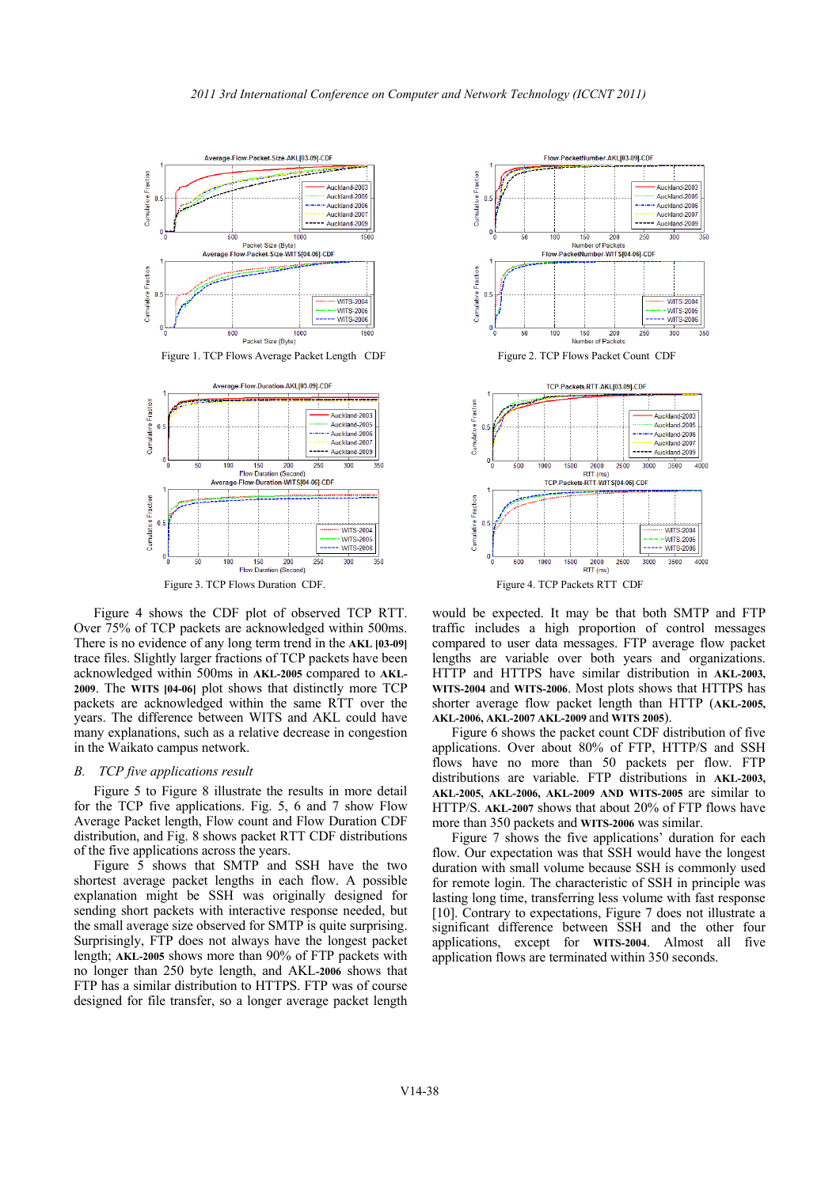



Figure 4 shows the CDF plot of observed TCP RTT. Over 75% of TCP packets are acknowledged within 500ms. There is no evidence of any long term trend in the **AKL [03-09]**  trace files. Slightly larger fractions of TCP packets have been acknowledged within 500ms in **AKL-2005** compared to **AKL-2009**. The **WITS [04-06]** plot shows that distinctly more TCP packets are acknowledged within the same RTT over the years. The difference between WITS and AKL could have many explanations, such as a relative decrease in congestion in the Waikato campus network.

# *B. TCP five applications result*

Figure 5 to Figure 8 illustrate the results in more detail for the TCP five applications. Fig. 5, 6 and 7 show Flow Average Packet length, Flow count and Flow Duration CDF distribution, and Fig. 8 shows packet RTT CDF distributions of the five applications across the years.

Figure 5 shows that SMTP and SSH have the two shortest average packet lengths in each flow. A possible explanation might be SSH was originally designed for sending short packets with interactive response needed, but the small average size observed for SMTP is quite surprising. Surprisingly, FTP does not always have the longest packet length; **AKL-2005** shows more than 90% of FTP packets with no longer than 250 byte length, and AKL**-2006** shows that FTP has a similar distribution to HTTPS. FTP was of course designed for file transfer, so a longer average packet length



would be expected. It may be that both SMTP and FTP traffic includes a high proportion of control messages compared to user data messages. FTP average flow packet lengths are variable over both years and organizations. HTTP and HTTPS have similar distribution in **AKL-2003, WITS-2004** and **WITS-2006**. Most plots shows that HTTPS has shorter average flow packet length than HTTP (**AKL-2005, AKL-2006, AKL-2007 AKL-2009** and **WITS 2005**).

Figure 6 shows the packet count CDF distribution of five applications. Over about 80% of FTP, HTTP/S and SSH flows have no more than 50 packets per flow. FTP distributions are variable. FTP distributions in **AKL-2003, AKL-2005, AKL-2006, AKL-2009 AND WITS-2005** are similar to HTTP/S. **AKL-2007** shows that about 20% of FTP flows have more than 350 packets and **WITS-2006** was similar.

Figure 7 shows the five applications' duration for each flow. Our expectation was that SSH would have the longest duration with small volume because SSH is commonly used for remote login. The characteristic of SSH in principle was lasting long time, transferring less volume with fast response [10]. Contrary to expectations, Figure 7 does not illustrate a significant difference between SSH and the other four applications, except for **WITS-2004**. Almost all five application flows are terminated within 350 seconds.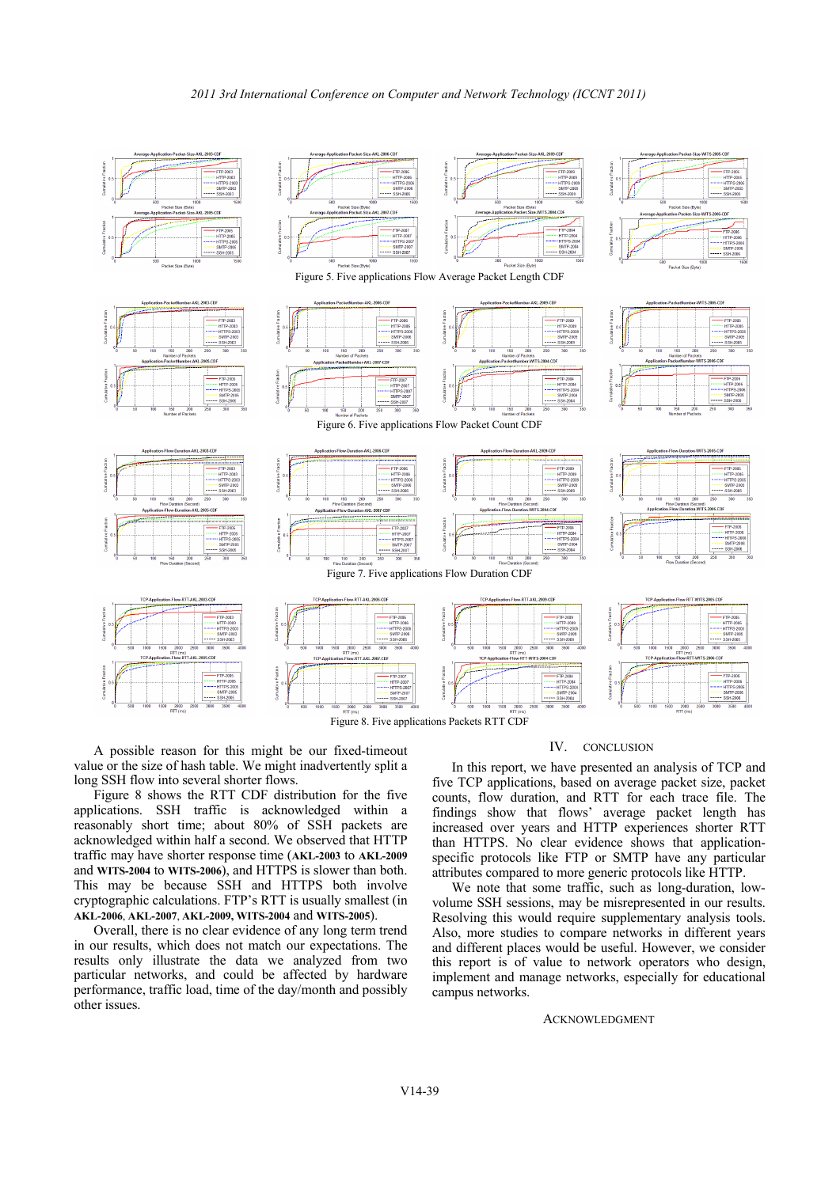

Figure 8. Five applications Packets RTT CDF

A possible reason for this might be our fixed-timeout value or the size of hash table. We might inadvertently split a long SSH flow into several shorter flows.

Figure 8 shows the RTT CDF distribution for the five applications. SSH traffic is acknowledged within a reasonably short time; about 80% of SSH packets are acknowledged within half a second. We observed that HTTP traffic may have shorter response time (**AKL-2003** to **AKL-2009** and **WITS-2004** to **WITS-2006**), and HTTPS is slower than both. This may be because SSH and HTTPS both involve cryptographic calculations. FTP's RTT is usually smallest (in **AKL-2006**, **AKL-2007**, **AKL-2009, WITS-2004** and **WITS-2005**).

Overall, there is no clear evidence of any long term trend in our results, which does not match our expectations. The results only illustrate the data we analyzed from two particular networks, and could be affected by hardware performance, traffic load, time of the day/month and possibly other issues.

# IV. CONCLUSION

In this report, we have presented an analysis of TCP and five TCP applications, based on average packet size, packet counts, flow duration, and RTT for each trace file. The findings show that flows' average packet length has increased over years and HTTP experiences shorter RTT than HTTPS. No clear evidence shows that applicationspecific protocols like FTP or SMTP have any particular attributes compared to more generic protocols like HTTP.

We note that some traffic, such as long-duration, lowvolume SSH sessions, may be misrepresented in our results. Resolving this would require supplementary analysis tools. Also, more studies to compare networks in different years and different places would be useful. However, we consider this report is of value to network operators who design, implement and manage networks, especially for educational campus networks.

#### ACKNOWLEDGMENT